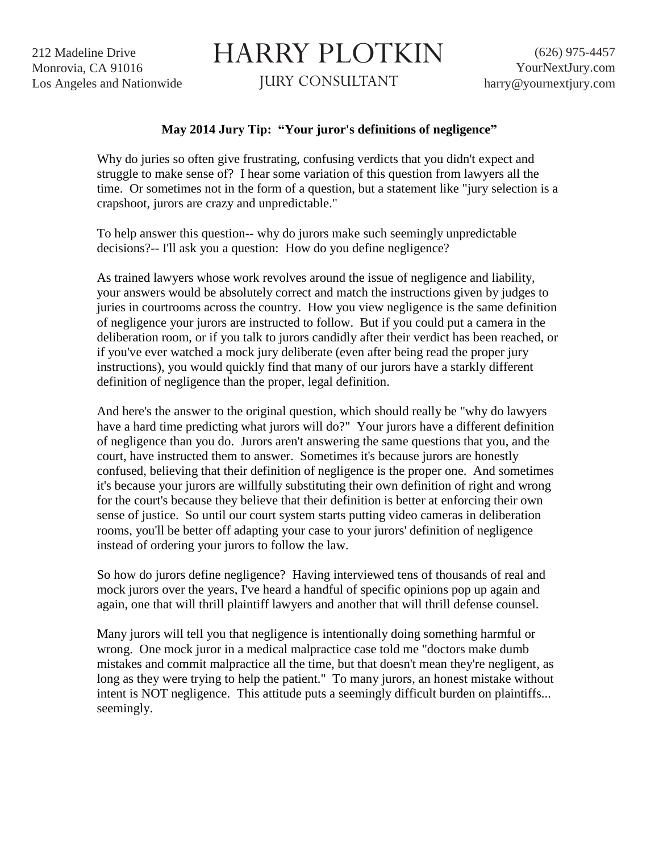212 Madeline Drive Monrovia, CA 91016 Los Angeles and Nationwide

## HARRY PLOTKIN

JURY CONSULTANT

## **May 2014 Jury Tip: "Your juror's definitions of negligence"**

Why do juries so often give frustrating, confusing verdicts that you didn't expect and struggle to make sense of? I hear some variation of this question from lawyers all the time. Or sometimes not in the form of a question, but a statement like "jury selection is a crapshoot, jurors are crazy and unpredictable."

To help answer this question-- why do jurors make such seemingly unpredictable decisions?-- I'll ask you a question: How do you define negligence?

As trained lawyers whose work revolves around the issue of negligence and liability, your answers would be absolutely correct and match the instructions given by judges to juries in courtrooms across the country. How you view negligence is the same definition of negligence your jurors are instructed to follow. But if you could put a camera in the deliberation room, or if you talk to jurors candidly after their verdict has been reached, or if you've ever watched a mock jury deliberate (even after being read the proper jury instructions), you would quickly find that many of our jurors have a starkly different definition of negligence than the proper, legal definition.

And here's the answer to the original question, which should really be "why do lawyers have a hard time predicting what jurors will do?" Your jurors have a different definition of negligence than you do. Jurors aren't answering the same questions that you, and the court, have instructed them to answer. Sometimes it's because jurors are honestly confused, believing that their definition of negligence is the proper one. And sometimes it's because your jurors are willfully substituting their own definition of right and wrong for the court's because they believe that their definition is better at enforcing their own sense of justice. So until our court system starts putting video cameras in deliberation rooms, you'll be better off adapting your case to your jurors' definition of negligence instead of ordering your jurors to follow the law.

So how do jurors define negligence? Having interviewed tens of thousands of real and mock jurors over the years, I've heard a handful of specific opinions pop up again and again, one that will thrill plaintiff lawyers and another that will thrill defense counsel.

Many jurors will tell you that negligence is intentionally doing something harmful or wrong. One mock juror in a medical malpractice case told me "doctors make dumb mistakes and commit malpractice all the time, but that doesn't mean they're negligent, as long as they were trying to help the patient." To many jurors, an honest mistake without intent is NOT negligence. This attitude puts a seemingly difficult burden on plaintiffs... seemingly.